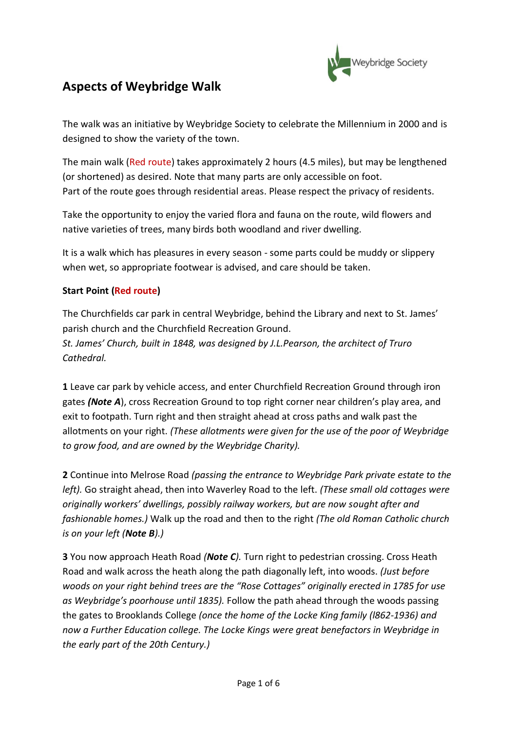

The walk was an initiative by Weybridge Society to celebrate the Millennium in 2000 and is designed to show the variety of the town.

The main walk (Red route) takes approximately 2 hours (4.5 miles), but may be lengthened (or shortened) as desired. Note that many parts are only accessible on foot. Part of the route goes through residential areas. Please respect the privacy of residents.

Take the opportunity to enjoy the varied flora and fauna on the route, wild flowers and native varieties of trees, many birds both woodland and river dwelling.

It is a walk which has pleasures in every season - some parts could be muddy or slippery when wet, so appropriate footwear is advised, and care should be taken.

### **Start Point (Red route)**

The Churchfields car park in central Weybridge, behind the Library and next to St. James' parish church and the Churchfield Recreation Ground. *St. James' Church, built in 1848, was designed by J.L.Pearson, the architect of Truro Cathedral.*

**1** Leave car park by vehicle access, and enter Churchfield Recreation Ground through iron gates *(Note A*), cross Recreation Ground to top right corner near children's play area, and exit to footpath. Turn right and then straight ahead at cross paths and walk past the allotments on your right. *(These allotments were given for the use of the poor of Weybridge to grow food, and are owned by the Weybridge Charity).*

**2** Continue into Melrose Road *(passing the entrance to Weybridge Park private estate to the left).* Go straight ahead, then into Waverley Road to the left. *(These small old cottages were originally workers' dwellings, possibly railway workers, but are now sought after and fashionable homes.)* Walk up the road and then to the right *(The old Roman Catholic church is on your left (Note B).)*

**3** You now approach Heath Road *(Note C).* Turn right to pedestrian crossing. Cross Heath Road and walk across the heath along the path diagonally left, into woods. *(Just before woods on your right behind trees are the "Rose Cottages" originally erected in 1785 for use as Weybridge's poorhouse until 1835).* Follow the path ahead through the woods passing the gates to Brooklands College *(once the home of the Locke King family (l862-1936) and now a Further Education college. The Locke Kings were great benefactors in Weybridge in the early part of the 20th Century.)*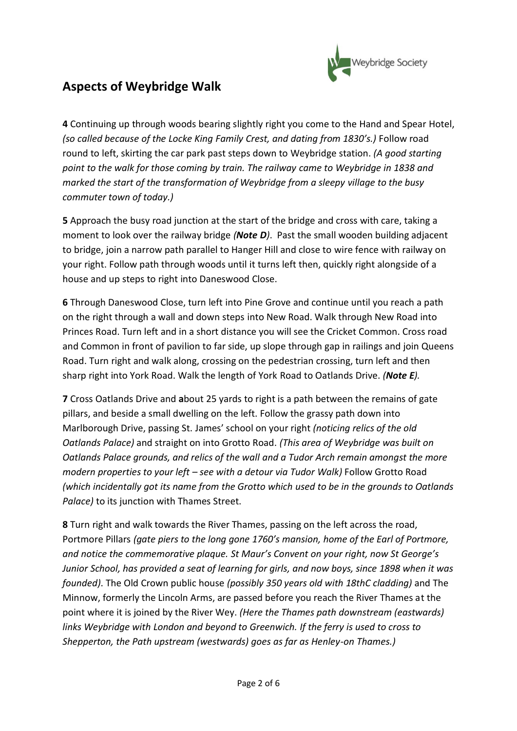

**4** Continuing up through woods bearing slightly right you come to the Hand and Spear Hotel, *(so called because of the Locke King Family Crest, and dating from 1830's.)* Follow road round to left, skirting the car park past steps down to Weybridge station. *(A good starting point to the walk for those coming by train. The railway came to Weybridge in 1838 and marked the start of the transformation of Weybridge from a sleepy village to the busy commuter town of today.)*

**5** Approach the busy road junction at the start of the bridge and cross with care, taking a moment to look over the railway bridge *(Note D)*. Past the small wooden building adjacent to bridge, join a narrow path parallel to Hanger Hill and close to wire fence with railway on your right. Follow path through woods until it turns left then, quickly right alongside of a house and up steps to right into Daneswood Close.

**6** Through Daneswood Close, turn left into Pine Grove and continue until you reach a path on the right through a wall and down steps into New Road. Walk through New Road into Princes Road. Turn left and in a short distance you will see the Cricket Common. Cross road and Common in front of pavilion to far side, up slope through gap in railings and join Queens Road. Turn right and walk along, crossing on the pedestrian crossing, turn left and then sharp right into York Road. Walk the length of York Road to Oatlands Drive. *(Note E).*

**7** Cross Oatlands Drive and **a**bout 25 yards to right is a path between the remains of gate pillars, and beside a small dwelling on the left. Follow the grassy path down into Marlborough Drive, passing St. James' school on your right *(noticing relics of the old Oatlands Palace)* and straight on into Grotto Road. *(This area of Weybridge was built on Oatlands Palace grounds, and relics of the wall and a Tudor Arch remain amongst the more modern properties to your left – see with a detour via Tudor Walk)* Follow Grotto Road *(which incidentally got its name from the Grotto which used to be in the grounds to Oatlands Palace)* to its junction with Thames Street.

**8** Turn right and walk towards the River Thames, passing on the left across the road, Portmore Pillars *(gate piers to the long gone 1760's mansion, home of the Earl of Portmore, and notice the commemorative plaque. St Maur's Convent on your right, now St George's Junior School, has provided a seat of learning for girls, and now boys, since 1898 when it was founded)*. The Old Crown public house *(possibly 350 years old with 18thC cladding)* and The Minnow, formerly the Lincoln Arms, are passed before you reach the River Thames at the point where it is joined by the River Wey. *(Here the Thames path downstream (eastwards) links Weybridge with London and beyond to Greenwich. If the ferry is used to cross to Shepperton, the Path upstream (westwards) goes as far as Henley-on Thames.)*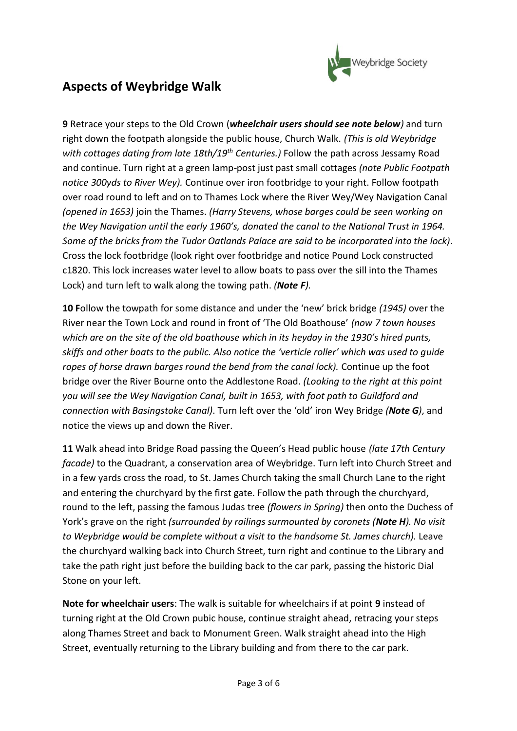

**9** Retrace your steps to the Old Crown (*wheelchair users should see note below)* and turn right down the footpath alongside the public house, Church Walk. *(This is old Weybridge with cottages dating from late 18th/19th Centuries.)* Follow the path across Jessamy Road and continue. Turn right at a green lamp-post just past small cottages *(note Public Footpath notice 300yds to River Wey).* Continue over iron footbridge to your right. Follow footpath over road round to left and on to Thames Lock where the River Wey/Wey Navigation Canal *(opened in 1653)* join the Thames. *(Harry Stevens, whose barges could be seen working on the Wey Navigation until the early 1960's, donated the canal to the National Trust in 1964. Some of the bricks from the Tudor Oatlands Palace are said to be incorporated into the lock)*. Cross the lock footbridge (look right over footbridge and notice Pound Lock constructed c1820. This lock increases water level to allow boats to pass over the sill into the Thames Lock) and turn left to walk along the towing path. *(Note F).*

**10 F**ollow the towpath for some distance and under the 'new' brick bridge *(1945)* over the River near the Town Lock and round in front of 'The Old Boathouse' *(now 7 town houses which are on the site of the old boathouse which in its heyday in the 1930's hired punts, skiffs and other boats to the public. Also notice the 'verticle roller' which was used to guide ropes of horse drawn barges round the bend from the canal lock).* Continue up the foot bridge over the River Bourne onto the Addlestone Road. *(Looking to the right at this point you will see the Wey Navigation Canal, built in 1653, with foot path to Guildford and connection with Basingstoke Canal)*. Turn left over the 'old' iron Wey Bridge *(Note G)*, and notice the views up and down the River.

**11** Walk ahead into Bridge Road passing the Queen's Head public house *(late 17th Century facade)* to the Quadrant, a conservation area of Weybridge. Turn left into Church Street and in a few yards cross the road, to St. James Church taking the small Church Lane to the right and entering the churchyard by the first gate. Follow the path through the churchyard, round to the left, passing the famous Judas tree *(flowers in Spring)* then onto the Duchess of York's grave on the right *(surrounded by railings surmounted by coronets (Note H). No visit to Weybridge would be complete without a visit to the handsome St. James church).* Leave the churchyard walking back into Church Street, turn right and continue to the Library and take the path right just before the building back to the car park, passing the historic Dial Stone on your left.

**Note for wheelchair users**: The walk is suitable for wheelchairs if at point **9** instead of turning right at the Old Crown pubic house, continue straight ahead, retracing your steps along Thames Street and back to Monument Green. Walk straight ahead into the High Street, eventually returning to the Library building and from there to the car park.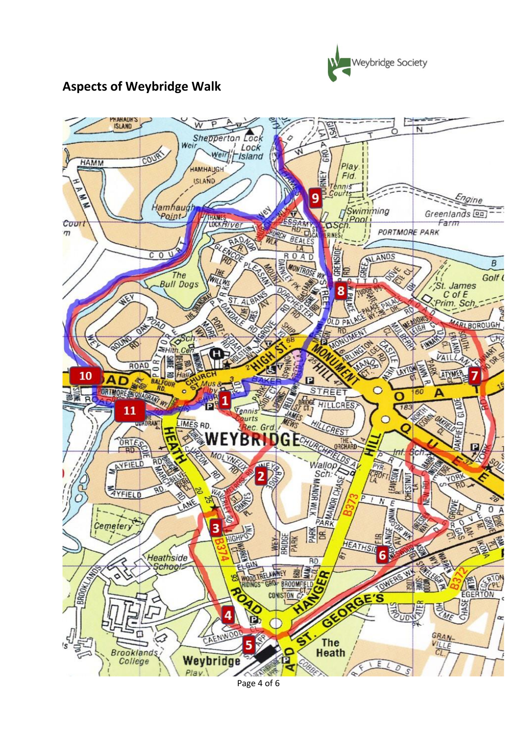



Page 4 of 6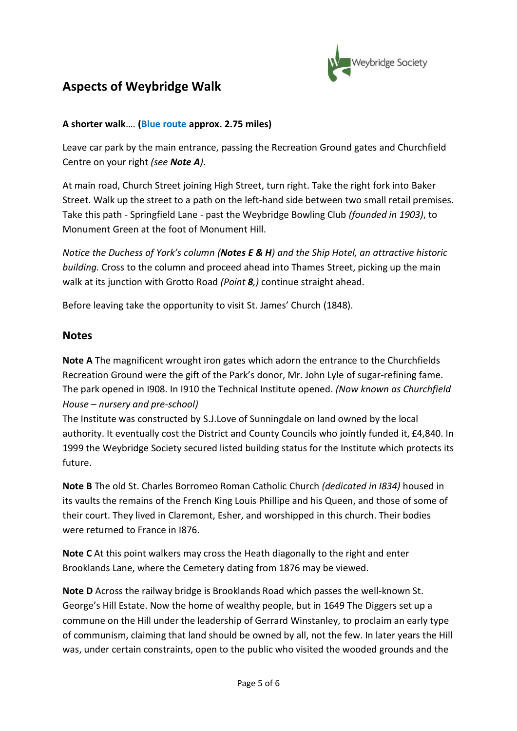

### **A shorter walk**…. **(Blue route approx. 2.75 miles)**

Leave car park by the main entrance, passing the Recreation Ground gates and Churchfield Centre on your right *(see Note A)*.

At main road, Church Street joining High Street, turn right. Take the right fork into Baker Street. Walk up the street to a path on the left-hand side between two small retail premises. Take this path - Springfield Lane - past the Weybridge Bowling Club *(founded in 1903)*, to Monument Green at the foot of Monument Hill.

*Notice the Duchess of York's column (Notes E & H) and the Ship Hotel, an attractive historic building.* Cross to the column and proceed ahead into Thames Street, picking up the main walk at its junction with Grotto Road *(Point 8,)* continue straight ahead.

Before leaving take the opportunity to visit St. James' Church (1848).

### **Notes**

**Note A** The magnificent wrought iron gates which adorn the entrance to the Churchfields Recreation Ground were the gift of the Park's donor, Mr. John Lyle of sugar-refining fame. The park opened in I908. In I910 the Technical Institute opened. *(Now known as Churchfield House – nursery and pre-school)*

The Institute was constructed by S.J.Love of Sunningdale on land owned by the local authority. It eventually cost the District and County Councils who jointly funded it, £4,840. In 1999 the Weybridge Society secured listed building status for the Institute which protects its future.

**Note B** The old St. Charles Borromeo Roman Catholic Church *(dedicated in I834)* housed in its vaults the remains of the French King Louis Phillipe and his Queen, and those of some of their court. They lived in Claremont, Esher, and worshipped in this church. Their bodies were returned to France in I876.

**Note C** At this point walkers may cross the Heath diagonally to the right and enter Brooklands Lane, where the Cemetery dating from 1876 may be viewed.

**Note D** Across the railway bridge is Brooklands Road which passes the well-known St. George's Hill Estate. Now the home of wealthy people, but in 1649 The Diggers set up a commune on the Hill under the leadership of Gerrard Winstanley, to proclaim an early type of communism, claiming that land should be owned by all, not the few. In later years the Hill was, under certain constraints, open to the public who visited the wooded grounds and the